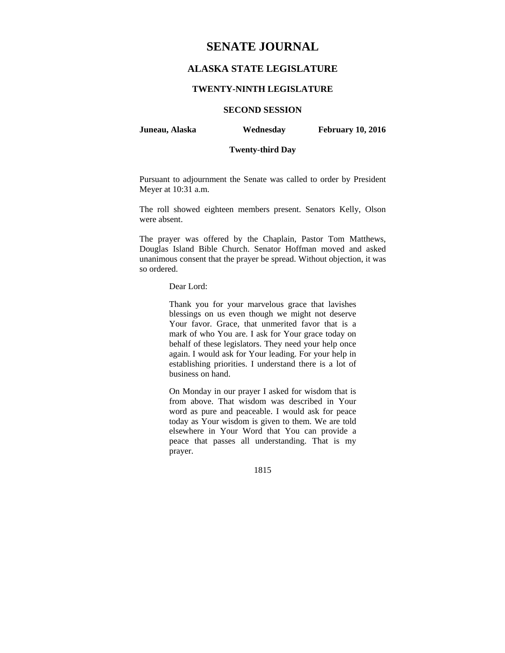# **SENATE JOURNAL**

## **ALASKA STATE LEGISLATURE**

## **TWENTY-NINTH LEGISLATURE**

## **SECOND SESSION**

**Juneau, Alaska Wednesday February 10, 2016** 

## **Twenty-third Day**

Pursuant to adjournment the Senate was called to order by President Meyer at 10:31 a.m.

The roll showed eighteen members present. Senators Kelly, Olson were absent.

The prayer was offered by the Chaplain, Pastor Tom Matthews, Douglas Island Bible Church. Senator Hoffman moved and asked unanimous consent that the prayer be spread. Without objection, it was so ordered.

## Dear Lord:

Thank you for your marvelous grace that lavishes blessings on us even though we might not deserve Your favor. Grace, that unmerited favor that is a mark of who You are. I ask for Your grace today on behalf of these legislators. They need your help once again. I would ask for Your leading. For your help in establishing priorities. I understand there is a lot of business on hand.

On Monday in our prayer I asked for wisdom that is from above. That wisdom was described in Your word as pure and peaceable. I would ask for peace today as Your wisdom is given to them. We are told elsewhere in Your Word that You can provide a peace that passes all understanding. That is my prayer.

1815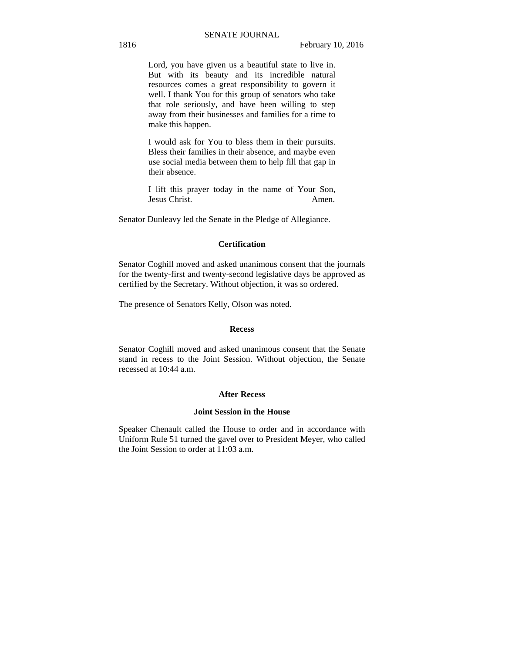Lord, you have given us a beautiful state to live in. But with its beauty and its incredible natural resources comes a great responsibility to govern it well. I thank You for this group of senators who take that role seriously, and have been willing to step away from their businesses and families for a time to make this happen.

I would ask for You to bless them in their pursuits. Bless their families in their absence, and maybe even use social media between them to help fill that gap in their absence.

I lift this prayer today in the name of Your Son, Jesus Christ. Amen.

Senator Dunleavy led the Senate in the Pledge of Allegiance.

## **Certification**

Senator Coghill moved and asked unanimous consent that the journals for the twenty-first and twenty-second legislative days be approved as certified by the Secretary. Without objection, it was so ordered.

The presence of Senators Kelly, Olson was noted.

#### **Recess**

Senator Coghill moved and asked unanimous consent that the Senate stand in recess to the Joint Session. Without objection, the Senate recessed at 10:44 a.m.

#### **After Recess**

#### **Joint Session in the House**

Speaker Chenault called the House to order and in accordance with Uniform Rule 51 turned the gavel over to President Meyer, who called the Joint Session to order at 11:03 a.m.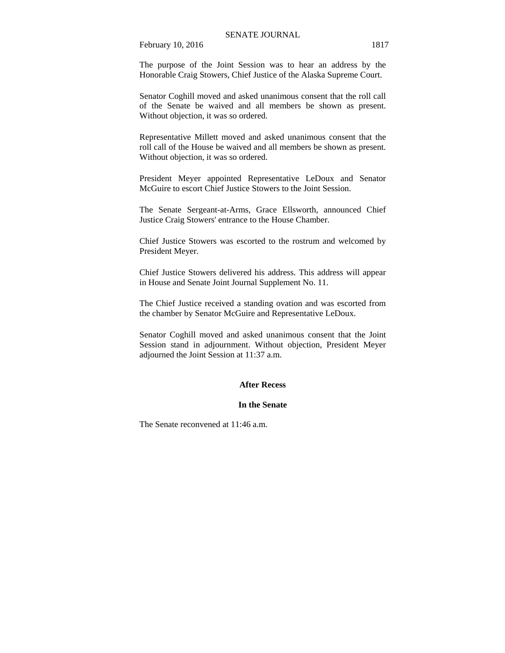February 10, 2016 1817

The purpose of the Joint Session was to hear an address by the Honorable Craig Stowers, Chief Justice of the Alaska Supreme Court.

Senator Coghill moved and asked unanimous consent that the roll call of the Senate be waived and all members be shown as present. Without objection, it was so ordered.

Representative Millett moved and asked unanimous consent that the roll call of the House be waived and all members be shown as present. Without objection, it was so ordered.

President Meyer appointed Representative LeDoux and Senator McGuire to escort Chief Justice Stowers to the Joint Session.

The Senate Sergeant-at-Arms, Grace Ellsworth, announced Chief Justice Craig Stowers' entrance to the House Chamber.

Chief Justice Stowers was escorted to the rostrum and welcomed by President Meyer.

Chief Justice Stowers delivered his address. This address will appear in House and Senate Joint Journal Supplement No. 11.

The Chief Justice received a standing ovation and was escorted from the chamber by Senator McGuire and Representative LeDoux.

Senator Coghill moved and asked unanimous consent that the Joint Session stand in adjournment. Without objection, President Meyer adjourned the Joint Session at 11:37 a.m.

#### **After Recess**

#### **In the Senate**

The Senate reconvened at 11:46 a.m.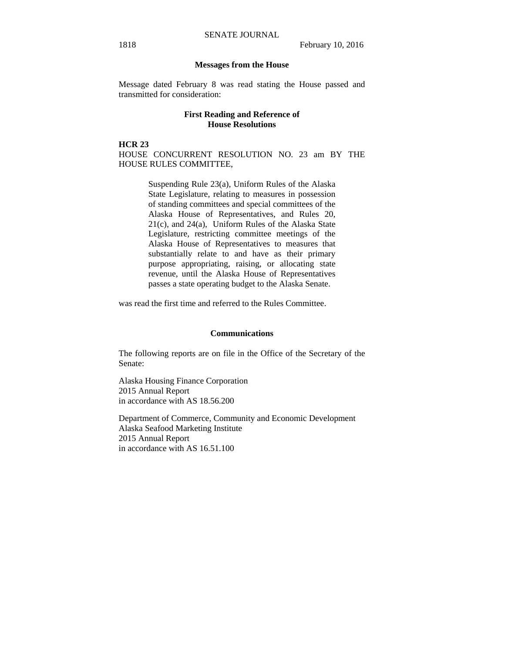#### **Messages from the House**

Message dated February 8 was read stating the House passed and transmitted for consideration:

## **First Reading and Reference of House Resolutions**

**HCR 23** 

HOUSE CONCURRENT RESOLUTION NO. 23 am BY THE HOUSE RULES COMMITTEE,

> Suspending Rule 23(a), Uniform Rules of the Alaska State Legislature, relating to measures in possession of standing committees and special committees of the Alaska House of Representatives, and Rules 20, 21(c), and 24(a), Uniform Rules of the Alaska State Legislature, restricting committee meetings of the Alaska House of Representatives to measures that substantially relate to and have as their primary purpose appropriating, raising, or allocating state revenue, until the Alaska House of Representatives passes a state operating budget to the Alaska Senate.

was read the first time and referred to the Rules Committee.

#### **Communications**

The following reports are on file in the Office of the Secretary of the Senate:

Alaska Housing Finance Corporation 2015 Annual Report in accordance with AS 18.56.200

Department of Commerce, Community and Economic Development Alaska Seafood Marketing Institute 2015 Annual Report in accordance with AS 16.51.100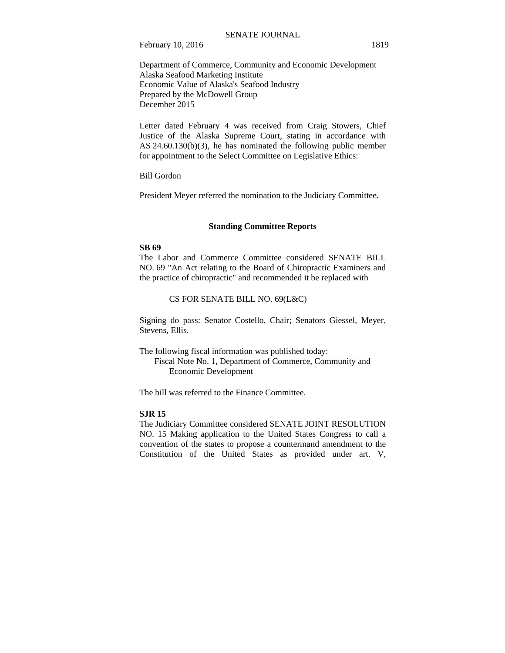#### SENATE JOURNAL

February 10, 2016 1819

Department of Commerce, Community and Economic Development Alaska Seafood Marketing Institute Economic Value of Alaska's Seafood Industry Prepared by the McDowell Group December 2015

Letter dated February 4 was received from Craig Stowers, Chief Justice of the Alaska Supreme Court, stating in accordance with AS 24.60.130(b)(3), he has nominated the following public member for appointment to the Select Committee on Legislative Ethics:

Bill Gordon

President Meyer referred the nomination to the Judiciary Committee.

## **Standing Committee Reports**

#### **SB 69**

The Labor and Commerce Committee considered SENATE BILL NO. 69 "An Act relating to the Board of Chiropractic Examiners and the practice of chiropractic" and recommended it be replaced with

## CS FOR SENATE BILL NO. 69(L&C)

Signing do pass: Senator Costello, Chair; Senators Giessel, Meyer, Stevens, Ellis.

The following fiscal information was published today: Fiscal Note No. 1, Department of Commerce, Community and Economic Development

The bill was referred to the Finance Committee.

## **SJR 15**

The Judiciary Committee considered SENATE JOINT RESOLUTION NO. 15 Making application to the United States Congress to call a convention of the states to propose a countermand amendment to the Constitution of the United States as provided under art. V,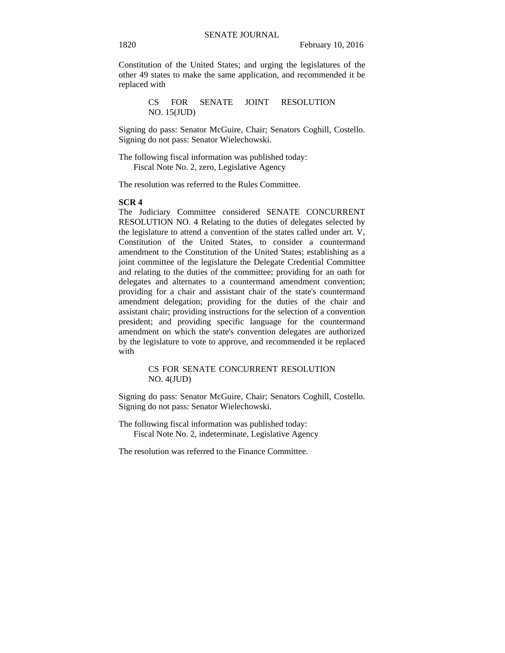Constitution of the United States; and urging the legislatures of the other 49 states to make the same application, and recommended it be replaced with

> CS FOR SENATE JOINT RESOLUTION NO. 15(JUD)

Signing do pass: Senator McGuire, Chair; Senators Coghill, Costello. Signing do not pass: Senator Wielechowski.

The following fiscal information was published today: Fiscal Note No. 2, zero, Legislative Agency

The resolution was referred to the Rules Committee.

#### **SCR 4**

The Judiciary Committee considered SENATE CONCURRENT RESOLUTION NO. 4 Relating to the duties of delegates selected by the legislature to attend a convention of the states called under art. V, Constitution of the United States, to consider a countermand amendment to the Constitution of the United States; establishing as a joint committee of the legislature the Delegate Credential Committee and relating to the duties of the committee; providing for an oath for delegates and alternates to a countermand amendment convention; providing for a chair and assistant chair of the state's countermand amendment delegation; providing for the duties of the chair and assistant chair; providing instructions for the selection of a convention president; and providing specific language for the countermand amendment on which the state's convention delegates are authorized by the legislature to vote to approve, and recommended it be replaced with

## CS FOR SENATE CONCURRENT RESOLUTION NO. 4(JUD)

Signing do pass: Senator McGuire, Chair; Senators Coghill, Costello. Signing do not pass: Senator Wielechowski.

The following fiscal information was published today: Fiscal Note No. 2, indeterminate, Legislative Agency

The resolution was referred to the Finance Committee.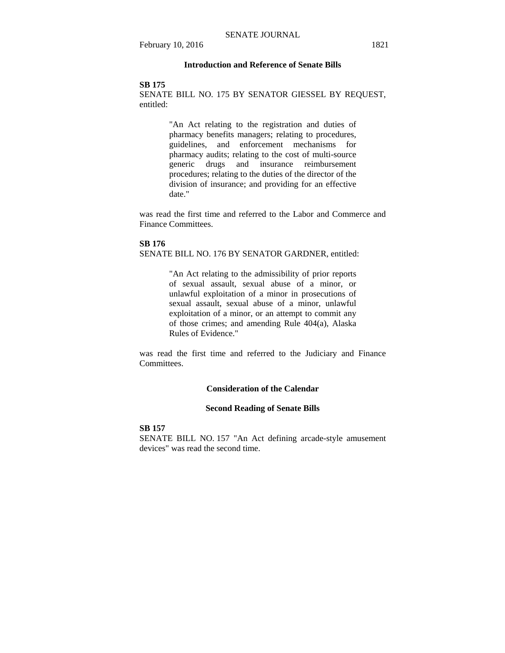February 10, 2016 1821

## **Introduction and Reference of Senate Bills**

#### **SB 175**

SENATE BILL NO. 175 BY SENATOR GIESSEL BY REQUEST, entitled:

> "An Act relating to the registration and duties of pharmacy benefits managers; relating to procedures, guidelines, and enforcement mechanisms for pharmacy audits; relating to the cost of multi-source generic drugs and insurance reimbursement procedures; relating to the duties of the director of the division of insurance; and providing for an effective date."

was read the first time and referred to the Labor and Commerce and Finance Committees.

#### **SB 176**

SENATE BILL NO. 176 BY SENATOR GARDNER, entitled:

"An Act relating to the admissibility of prior reports of sexual assault, sexual abuse of a minor, or unlawful exploitation of a minor in prosecutions of sexual assault, sexual abuse of a minor, unlawful exploitation of a minor, or an attempt to commit any of those crimes; and amending Rule 404(a), Alaska Rules of Evidence."

was read the first time and referred to the Judiciary and Finance Committees.

## **Consideration of the Calendar**

#### **Second Reading of Senate Bills**

#### **SB 157**

SENATE BILL NO. 157 "An Act defining arcade-style amusement devices" was read the second time.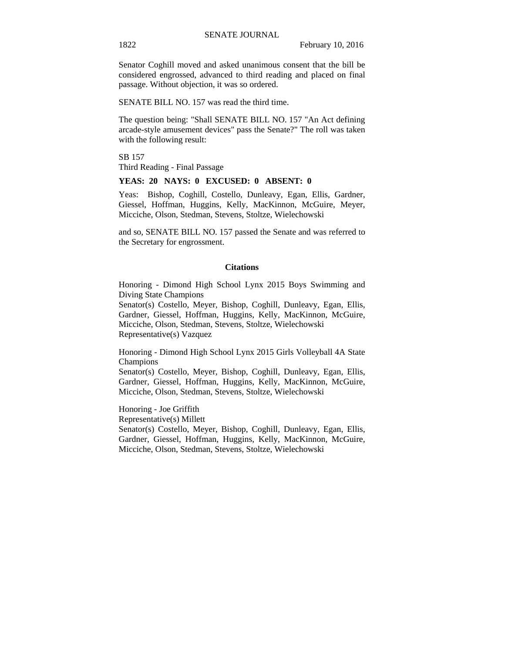Senator Coghill moved and asked unanimous consent that the bill be considered engrossed, advanced to third reading and placed on final passage. Without objection, it was so ordered.

SENATE BILL NO. 157 was read the third time.

The question being: "Shall SENATE BILL NO. 157 "An Act defining arcade-style amusement devices" pass the Senate?" The roll was taken with the following result:

SB 157 Third Reading - Final Passage

#### **YEAS: 20 NAYS: 0 EXCUSED: 0 ABSENT: 0**

Yeas: Bishop, Coghill, Costello, Dunleavy, Egan, Ellis, Gardner, Giessel, Hoffman, Huggins, Kelly, MacKinnon, McGuire, Meyer, Micciche, Olson, Stedman, Stevens, Stoltze, Wielechowski

and so, SENATE BILL NO. 157 passed the Senate and was referred to the Secretary for engrossment.

#### **Citations**

Honoring - Dimond High School Lynx 2015 Boys Swimming and Diving State Champions

Senator(s) Costello, Meyer, Bishop, Coghill, Dunleavy, Egan, Ellis, Gardner, Giessel, Hoffman, Huggins, Kelly, MacKinnon, McGuire, Micciche, Olson, Stedman, Stevens, Stoltze, Wielechowski Representative(s) Vazquez

Honoring - Dimond High School Lynx 2015 Girls Volleyball 4A State Champions

Senator(s) Costello, Meyer, Bishop, Coghill, Dunleavy, Egan, Ellis, Gardner, Giessel, Hoffman, Huggins, Kelly, MacKinnon, McGuire, Micciche, Olson, Stedman, Stevens, Stoltze, Wielechowski

Honoring - Joe Griffith Representative(s) Millett Senator(s) Costello, Meyer, Bishop, Coghill, Dunleavy, Egan, Ellis, Gardner, Giessel, Hoffman, Huggins, Kelly, MacKinnon, McGuire, Micciche, Olson, Stedman, Stevens, Stoltze, Wielechowski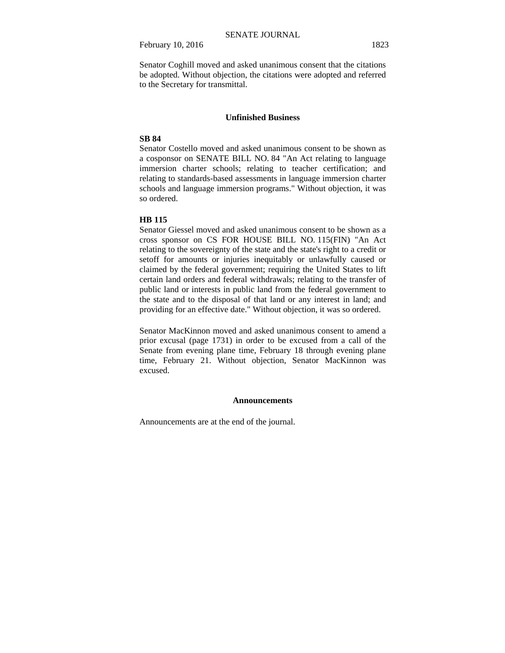February 10, 2016 1823

Senator Coghill moved and asked unanimous consent that the citations be adopted. Without objection, the citations were adopted and referred to the Secretary for transmittal.

#### **Unfinished Business**

#### **SB 84**

Senator Costello moved and asked unanimous consent to be shown as a cosponsor on SENATE BILL NO. 84 "An Act relating to language immersion charter schools; relating to teacher certification; and relating to standards-based assessments in language immersion charter schools and language immersion programs." Without objection, it was so ordered.

## **HB 115**

Senator Giessel moved and asked unanimous consent to be shown as a cross sponsor on CS FOR HOUSE BILL NO. 115(FIN) "An Act relating to the sovereignty of the state and the state's right to a credit or setoff for amounts or injuries inequitably or unlawfully caused or claimed by the federal government; requiring the United States to lift certain land orders and federal withdrawals; relating to the transfer of public land or interests in public land from the federal government to the state and to the disposal of that land or any interest in land; and providing for an effective date." Without objection, it was so ordered.

Senator MacKinnon moved and asked unanimous consent to amend a prior excusal (page 1731) in order to be excused from a call of the Senate from evening plane time, February 18 through evening plane time, February 21. Without objection, Senator MacKinnon was excused.

#### **Announcements**

Announcements are at the end of the journal.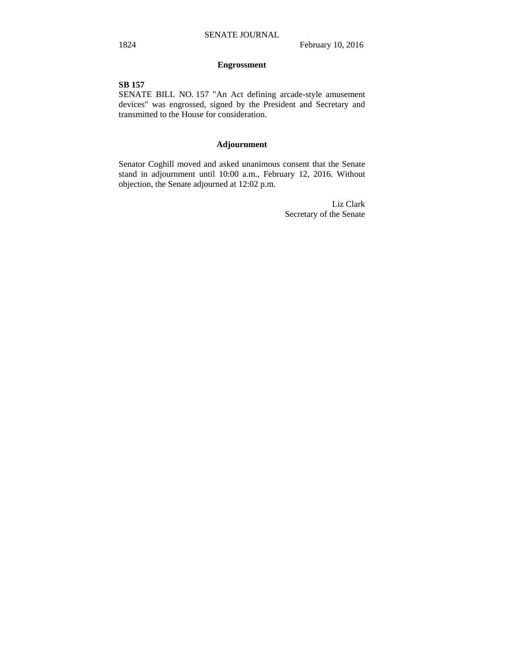## **Engrossment**

## **SB 157**

SENATE BILL NO. 157 "An Act defining arcade-style amusement devices" was engrossed, signed by the President and Secretary and transmitted to the House for consideration.

## **Adjournment**

Senator Coghill moved and asked unanimous consent that the Senate stand in adjournment until 10:00 a.m., February 12, 2016. Without objection, the Senate adjourned at 12:02 p.m.

> Liz Clark Secretary of the Senate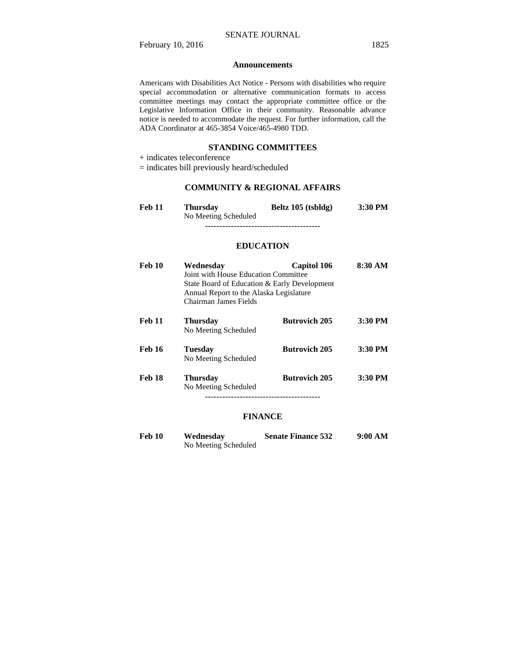## **Announcements**

Americans with Disabilities Act Notice - Persons with disabilities who require special accommodation or alternative communication formats to access committee meetings may contact the appropriate committee office or the Legislative Information Office in their community. Reasonable advance notice is needed to accommodate the request. For further information, call the ADA Coordinator at 465-3854 Voice/465-4980 TDD.

## **STANDING COMMITTEES**

 $\pm$  indicates teleconference

= indicates bill previously heard/scheduled

## **COMMUNITY & REGIONAL AFFAIRS**

| Feb 11 | Thursdav             | Beltz 105 (tsbldg) | $3:30$ PM |
|--------|----------------------|--------------------|-----------|
|        | No Meeting Scheduled |                    |           |
|        |                      |                    |           |

## **EDUCATION**

| <b>Feb 10</b> | Wednesday<br>Joint with House Education Committee<br>State Board of Education & Early Development<br>Annual Report to the Alaska Legislature<br>Chairman James Fields | <b>Capitol 106</b>   | 8:30 AM |
|---------------|-----------------------------------------------------------------------------------------------------------------------------------------------------------------------|----------------------|---------|
| <b>Feb 11</b> | <b>Thursday</b><br>No Meeting Scheduled                                                                                                                               | <b>Butrovich 205</b> | 3:30 PM |
| <b>Feb 16</b> | <b>Tuesday</b><br>No Meeting Scheduled                                                                                                                                | <b>Butrovich 205</b> | 3:30 PM |
| <b>Feb 18</b> | <b>Thursday</b><br>No Meeting Scheduled<br>-----------------------------------                                                                                        | <b>Butrovich 205</b> | 3:30 PM |

#### **FINANCE**

| Feb 10 | Wednesday            | <b>Senate Finance 532</b> | 9:00 AM |
|--------|----------------------|---------------------------|---------|
|        | No Meeting Scheduled |                           |         |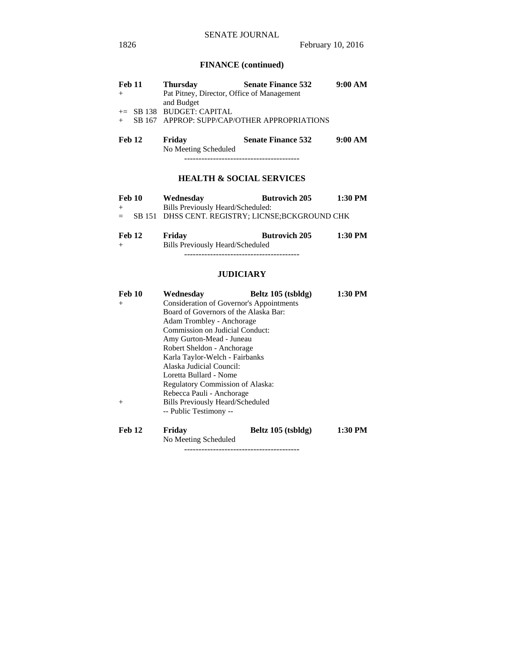## **FINANCE (continued)**

| <b>Feb 11</b> | <b>Thursday</b>                            | <b>Senate Finance 532</b>                    | 9:00 AM |
|---------------|--------------------------------------------|----------------------------------------------|---------|
|               | Pat Pitney, Director, Office of Management |                                              |         |
|               | and Budget                                 |                                              |         |
|               | $+=$ SB 138 BUDGET: CAPITAL                |                                              |         |
|               |                                            | SB 167 APPROP: SUPP/CAP/OTHER APPROPRIATIONS |         |
|               |                                            |                                              |         |
| Feb 12        | Friday                                     | <b>Senate Finance 532</b>                    | 9:00 AM |

No Meeting Scheduled

## ----------------------------------------

# **HEALTH & SOCIAL SERVICES**

| Feb 10 | Wednesday                                         | <b>Butrovich 205</b> | 1:30 PM |
|--------|---------------------------------------------------|----------------------|---------|
| $+$    | Bills Previously Heard/Scheduled:                 |                      |         |
| $=$    | SB 151 DHSS CENT. REGISTRY; LICNSE; BCKGROUND CHK |                      |         |
| --     |                                                   |                      |         |

**Feb 12 Friday Butrovich 205 1:30 PM**  + Bills Previously Heard/Scheduled ----------------------------------------

## **JUDICIARY**

| <b>Feb 10</b> | Wednesday                               | Beltz 105 (tsbldg)                              | 1:30 PM |  |  |
|---------------|-----------------------------------------|-------------------------------------------------|---------|--|--|
| $+$           |                                         | <b>Consideration of Governor's Appointments</b> |         |  |  |
|               | Board of Governors of the Alaska Bar:   |                                                 |         |  |  |
|               | Adam Trombley - Anchorage               |                                                 |         |  |  |
|               | Commission on Judicial Conduct:         |                                                 |         |  |  |
|               | Amy Gurton-Mead - Juneau                |                                                 |         |  |  |
|               | Robert Sheldon - Anchorage              |                                                 |         |  |  |
|               | Karla Taylor-Welch - Fairbanks          |                                                 |         |  |  |
|               | Alaska Judicial Council:                |                                                 |         |  |  |
|               | Loretta Bullard - Nome                  |                                                 |         |  |  |
|               | Regulatory Commission of Alaska:        |                                                 |         |  |  |
|               | Rebecca Pauli - Anchorage               |                                                 |         |  |  |
| $+$           | <b>Bills Previously Heard/Scheduled</b> |                                                 |         |  |  |
|               | -- Public Testimony --                  |                                                 |         |  |  |
| <b>Feb 12</b> | Fridav                                  | Beltz 105 (tsbldg)                              | 1:30 PM |  |  |

----------------------------------------

No Meeting Scheduled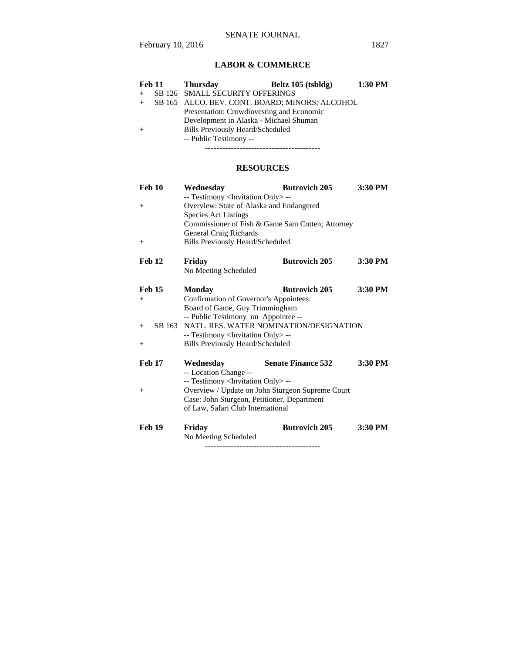# SENATE JOURNAL

# **LABOR & COMMERCE**

| <b>Feb 11</b> | Thursdav                                  | Beltz 105 (tsbldg)                             | 1:30 PM |
|---------------|-------------------------------------------|------------------------------------------------|---------|
|               | SB 126 SMALL SECURITY OFFERINGS           |                                                |         |
|               |                                           | SB 165 ALCO. BEV. CONT. BOARD; MINORS; ALCOHOL |         |
|               | Presentation: Crowdinvesting and Economic |                                                |         |
|               | Development in Alaska - Michael Shuman    |                                                |         |
|               | <b>Bills Previously Heard/Scheduled</b>   |                                                |         |
|               | -- Public Testimony --                    |                                                |         |
|               |                                           |                                                |         |

# **RESOURCES**

| Feb 10           | Wednesday                                         | <b>Butrovich 205</b>                             | 3:30 PM |
|------------------|---------------------------------------------------|--------------------------------------------------|---------|
|                  | -- Testimony <invitation only=""> --</invitation> |                                                  |         |
| $^{+}$           | Overview: State of Alaska and Endangered          |                                                  |         |
|                  | <b>Species Act Listings</b>                       |                                                  |         |
|                  |                                                   | Commissioner of Fish & Game Sam Cotten; Attorney |         |
|                  | <b>General Craig Richards</b>                     |                                                  |         |
| $^{+}$           | <b>Bills Previously Heard/Scheduled</b>           |                                                  |         |
| Feb 12           | Friday                                            | <b>Butrovich 205</b>                             | 3:30 PM |
|                  | No Meeting Scheduled                              |                                                  |         |
| <b>Feb 15</b>    | Monday                                            | <b>Butrovich 205</b>                             | 3:30 PM |
| $^{+}$           | Confirmation of Governor's Appointees:            |                                                  |         |
|                  | Board of Game, Guy Trimmingham                    |                                                  |         |
|                  | -- Public Testimony on Appointee --               |                                                  |         |
| SB 163<br>$^{+}$ |                                                   | NATL. RES. WATER NOMINATION/DESIGNATION          |         |
|                  | -- Testimony <invitation only=""> --</invitation> |                                                  |         |
| $^{+}$           | <b>Bills Previously Heard/Scheduled</b>           |                                                  |         |
| <b>Feb 17</b>    | Wednesday                                         | <b>Senate Finance 532</b>                        | 3:30 PM |
|                  | -- Location Change --                             |                                                  |         |
|                  | -- Testimony <invitation only=""> --</invitation> |                                                  |         |
| $^{+}$           |                                                   | Overview / Update on John Sturgeon Supreme Court |         |
|                  | Case: John Sturgeon, Petitioner, Department       |                                                  |         |
|                  | of Law, Safari Club International                 |                                                  |         |
| <b>Feb 19</b>    | Friday                                            | <b>Butrovich 205</b>                             | 3:30 PM |
|                  | No Meeting Scheduled                              |                                                  |         |
|                  |                                                   |                                                  |         |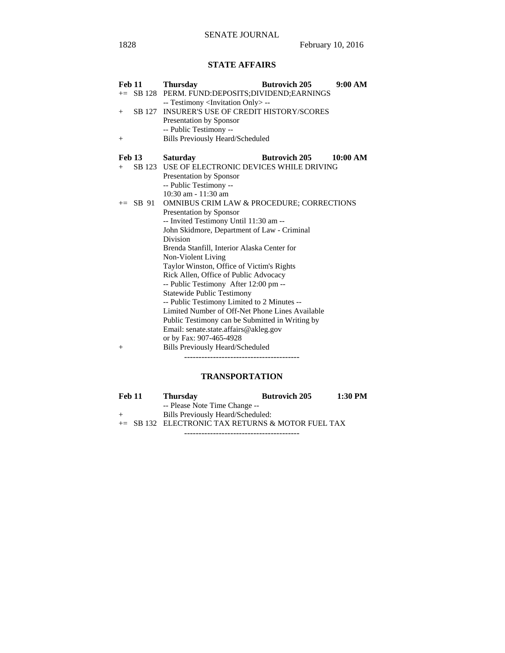# **STATE AFFAIRS**

| <b>Feb 11</b> |            | <b>Thursday</b>                                                                  | <b>Butrovich 205</b> | 9:00 AM  |
|---------------|------------|----------------------------------------------------------------------------------|----------------------|----------|
|               |            | += SB 128 PERM. FUND:DEPOSITS;DIVIDEND;EARNINGS                                  |                      |          |
|               |            | -- Testimony <invitation only=""> --</invitation>                                |                      |          |
| $^{+}$        |            | SB 127 INSURER'S USE OF CREDIT HISTORY/SCORES                                    |                      |          |
|               |            | Presentation by Sponsor                                                          |                      |          |
|               |            | -- Public Testimony --                                                           |                      |          |
| $^{+}$        |            | <b>Bills Previously Heard/Scheduled</b>                                          |                      |          |
| Feb 13        |            | <b>Saturday</b>                                                                  | <b>Butrovich 205</b> | 10:00 AM |
| $^{+}$        |            | SB 123 USE OF ELECTRONIC DEVICES WHILE DRIVING                                   |                      |          |
|               |            | Presentation by Sponsor                                                          |                      |          |
|               |            | -- Public Testimony --                                                           |                      |          |
|               |            | 10:30 am - 11:30 am                                                              |                      |          |
|               | $+=$ SB 91 | <b>OMNIBUS CRIM LAW &amp; PROCEDURE; CORRECTIONS</b>                             |                      |          |
|               |            | Presentation by Sponsor                                                          |                      |          |
|               |            | -- Invited Testimony Until 11:30 am --                                           |                      |          |
|               |            | John Skidmore, Department of Law - Criminal                                      |                      |          |
|               |            | Division                                                                         |                      |          |
|               |            | Brenda Stanfill, Interior Alaska Center for                                      |                      |          |
|               |            | Non-Violent Living                                                               |                      |          |
|               |            | Taylor Winston, Office of Victim's Rights                                        |                      |          |
|               |            | Rick Allen, Office of Public Advocacy                                            |                      |          |
|               |            | -- Public Testimony After 12:00 pm --                                            |                      |          |
|               |            | <b>Statewide Public Testimony</b><br>-- Public Testimony Limited to 2 Minutes -- |                      |          |
|               |            | Limited Number of Off-Net Phone Lines Available                                  |                      |          |
|               |            | Public Testimony can be Submitted in Writing by                                  |                      |          |
|               |            | Email: senate.state.affairs@akleg.gov                                            |                      |          |
|               |            | or by Fax: 907-465-4928                                                          |                      |          |
| $^{+}$        |            | Bills Previously Heard/Scheduled                                                 |                      |          |
|               |            |                                                                                  |                      |          |

# **TRANSPORTATION**

| <b>Feb 11</b> | <b>Thursday</b>                                   | <b>Butrovich 205</b> | 1:30 PM |
|---------------|---------------------------------------------------|----------------------|---------|
|               | -- Please Note Time Change --                     |                      |         |
| $+$           | Bills Previously Heard/Scheduled:                 |                      |         |
|               | += SB 132 ELECTRONIC TAX RETURNS & MOTOR FUEL TAX |                      |         |

----------------------------------------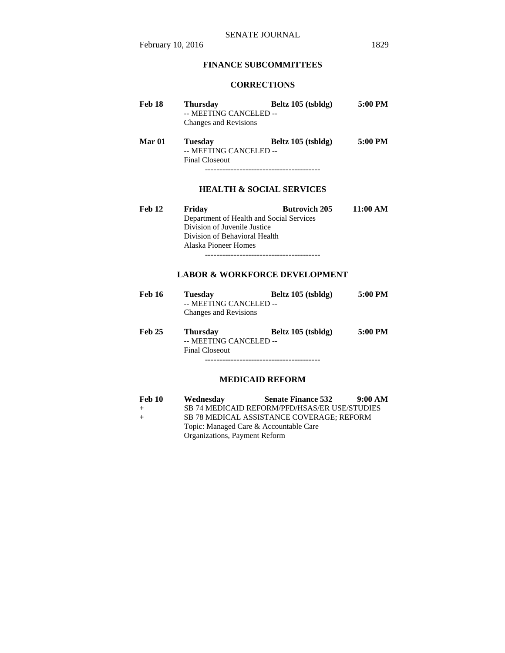# **FINANCE SUBCOMMITTEES**

# **CORRECTIONS**

| <b>Feb 18</b> | <b>Thursday</b><br>-- MEETING CANCELED --<br>Changes and Revisions                              | Beltz 105 (tsbldg)                                               | 5:00 PM  |
|---------------|-------------------------------------------------------------------------------------------------|------------------------------------------------------------------|----------|
| Mar 01        | <b>Tuesday</b><br>-- MEETING CANCELED --<br><b>Final Closeout</b>                               | Beltz 105 (tsbldg)<br>------------------------------------       | 5:00 PM  |
|               |                                                                                                 | <b>HEALTH &amp; SOCIAL SERVICES</b>                              |          |
| <b>Feb 12</b> | Friday<br>Division of Juvenile Justice<br>Division of Behavioral Health<br>Alaska Pioneer Homes | <b>Butrovich 205</b><br>Department of Health and Social Services | 11:00 AM |
|               |                                                                                                 | <b>LABOR &amp; WORKFORCE DEVELOPMENT</b>                         |          |
| <b>Feb 16</b> | <b>Tuesday</b><br>MEETING CANCELED                                                              | Beltz 105 (tsbldg)                                               | 5:00 PM  |

|        | -- MEETING CANCELED --<br>Changes and Revisions                    |                    |         |  |
|--------|--------------------------------------------------------------------|--------------------|---------|--|
| Feb 25 | <b>Thursday</b><br>-- MEETING CANCELED --<br><b>Final Closeout</b> | Beltz 105 (tsbldg) | 5:00 PM |  |

----------------------------------------

# **MEDICAID REFORM**

| <b>Feb 10</b> | Wednesday                                 | <b>Senate Finance 532</b>                     | 9:00 AM |
|---------------|-------------------------------------------|-----------------------------------------------|---------|
| $^{+}$        |                                           | SB 74 MEDICAID REFORM/PFD/HSAS/ER USE/STUDIES |         |
| $+$           | SB 78 MEDICAL ASSISTANCE COVERAGE: REFORM |                                               |         |
|               |                                           | Topic: Managed Care & Accountable Care        |         |
|               | Organizations, Payment Reform             |                                               |         |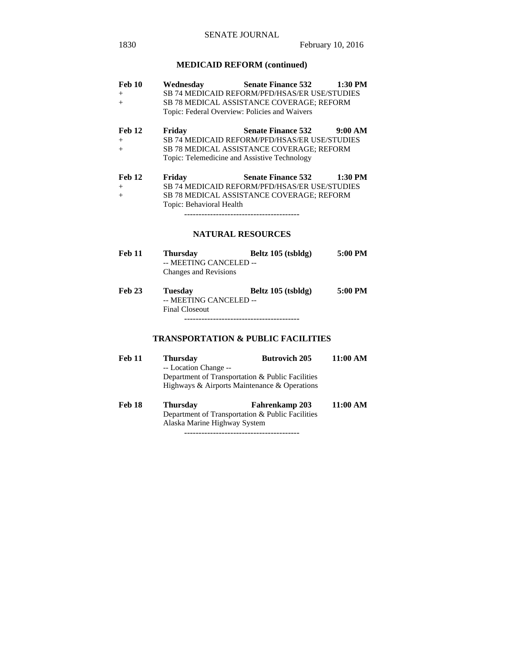## **MEDICAID REFORM (continued)**

| Feb 10<br>$^{+}$<br>$+$        | Wednesday<br>Topic: Federal Overview: Policies and Waivers | <b>Senate Finance 532</b><br><b>SB 74 MEDICAID REFORM/PFD/HSAS/ER USE/STUDIES</b><br><b>SB 78 MEDICAL ASSISTANCE COVERAGE; REFORM</b>                                                            | $1:30$ PM |
|--------------------------------|------------------------------------------------------------|--------------------------------------------------------------------------------------------------------------------------------------------------------------------------------------------------|-----------|
| Feb 12<br>$+$<br>$^{+}$        | Friday                                                     | 9:00 AM<br><b>Senate Finance 532</b><br><b>SB 74 MEDICAID REFORM/PFD/HSAS/ER USE/STUDIES</b><br><b>SB 78 MEDICAL ASSISTANCE COVERAGE; REFORM</b><br>Topic: Telemedicine and Assistive Technology |           |
| <b>Feb 12</b><br>$^{+}$<br>$+$ | Friday<br>Topic: Behavioral Health                         | <b>Senate Finance 532</b><br><b>SB 74 MEDICAID REFORM/PFD/HSAS/ER USE/STUDIES</b><br><b>SB 78 MEDICAL ASSISTANCE COVERAGE; REFORM</b>                                                            | 1:30 PM   |

## **NATURAL RESOURCES**

| <b>Feb 11</b> | Thursdav               | Beltz 105 (tsbldg) | 5:00 PM |
|---------------|------------------------|--------------------|---------|
|               | -- MEETING CANCELED -- |                    |         |
|               | Changes and Revisions  |                    |         |

**Feb 23 Tuesday Beltz 105 (tsbldg) 5:00 PM**  -- MEETING CANCELED -- Final Closeout ----------------------------------------

## **TRANSPORTATION & PUBLIC FACILITIES**

| <b>Feb 11</b> | <b>Thursday</b>                                  | <b>Butrovich 205</b>  | 11:00 AM |
|---------------|--------------------------------------------------|-----------------------|----------|
|               | -- Location Change --                            |                       |          |
|               | Department of Transportation & Public Facilities |                       |          |
|               | Highways & Airports Maintenance & Operations     |                       |          |
| Feb 18        | <b>Thursday</b>                                  | <b>Fahrenkamp 203</b> | 11:00 AM |
|               | Department of Transportation & Public Facilities |                       |          |

Alaska Marine Highway System

----------------------------------------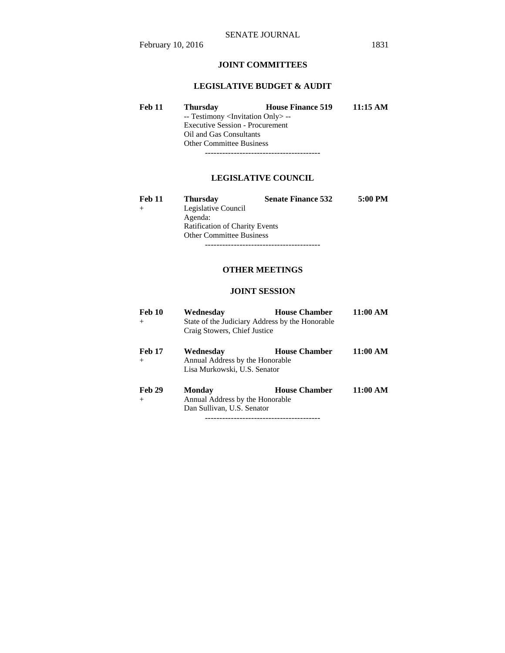## **JOINT COMMITTEES**

## **LEGISLATIVE BUDGET & AUDIT**

**Feb 11 Thursday House Finance 519 11:15 AM**  -- Testimony <Invitation Only> -- Executive Session - Procurement Oil and Gas Consultants Other Committee Business ----------------------------------------

## **LEGISLATIVE COUNCIL**

| <b>Feb 11</b> | <b>Thursday</b>                       | <b>Senate Finance 532</b> | 5:00 PM |  |
|---------------|---------------------------------------|---------------------------|---------|--|
|               | Legislative Council                   |                           |         |  |
|               | Agenda:                               |                           |         |  |
|               | <b>Ratification of Charity Events</b> |                           |         |  |
|               | <b>Other Committee Business</b>       |                           |         |  |
|               |                                       |                           |         |  |

## **OTHER MEETINGS**

## **JOINT SESSION**

| Feb 10<br>$^{+}$        | Wednesday<br>Craig Stowers, Chief Justice                                    | <b>House Chamber</b><br>State of the Judiciary Address by the Honorable | 11:00 AM |
|-------------------------|------------------------------------------------------------------------------|-------------------------------------------------------------------------|----------|
| <b>Feb 17</b><br>$^{+}$ | Wednesday<br>Annual Address by the Honorable<br>Lisa Murkowski, U.S. Senator | <b>House Chamber</b>                                                    | 11:00 AM |
| <b>Feb 29</b><br>$+$    | Monday<br>Annual Address by the Honorable<br>Dan Sullivan, U.S. Senator      | <b>House Chamber</b>                                                    | 11:00 AM |